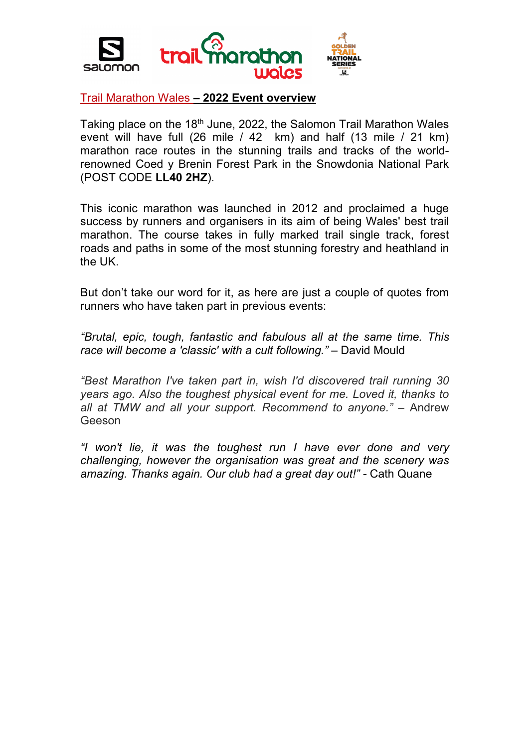

#### Trail Marathon Wales **– 2022 Event overview**

Taking place on the 18<sup>th</sup> June, 2022, the Salomon Trail Marathon Wales event will have full (26 mile / 42 km) and half (13 mile / 21 km) marathon race routes in the stunning trails and tracks of the worldrenowned Coed y Brenin Forest Park in the Snowdonia National Park (POST CODE **LL40 2HZ**).

This iconic marathon was launched in 2012 and proclaimed a huge success by runners and organisers in its aim of being Wales' best trail marathon. The course takes in fully marked trail single track, forest roads and paths in some of the most stunning forestry and heathland in the UK.

But don't take our word for it, as here are just a couple of quotes from runners who have taken part in previous events:

*"Brutal, epic, tough, fantastic and fabulous all at the same time. This race will become a 'classic' with a cult following."* – David Mould

*"Best Marathon I've taken part in, wish I'd discovered trail running 30 years ago. Also the toughest physical event for me. Loved it, thanks to all at TMW and all your support. Recommend to anyone."* – Andrew Geeson

*"I won't lie, it was the toughest run I have ever done and very challenging, however the organisation was great and the scenery was amazing. Thanks again. Our club had a great day out!" -* Cath Quane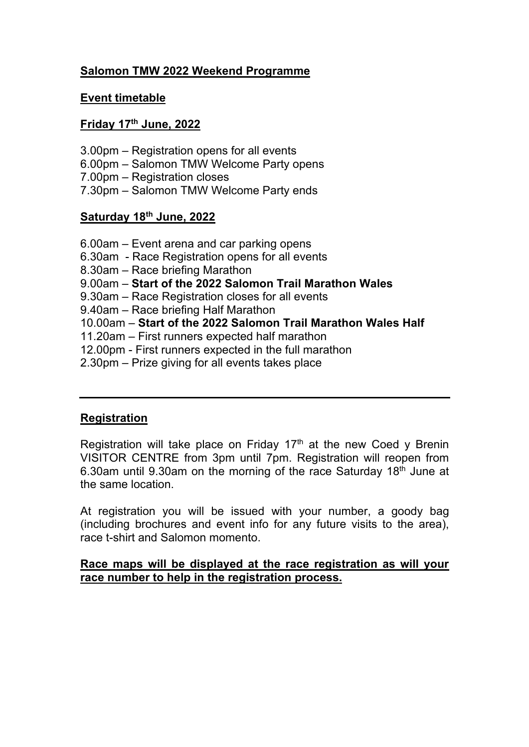# **Salomon TMW 2022 Weekend Programme**

## **Event timetable**

## **Friday 17th June, 2022**

- 3.00pm Registration opens for all events
- 6.00pm Salomon TMW Welcome Party opens
- 7.00pm Registration closes
- 7.30pm Salomon TMW Welcome Party ends

# **Saturday 18th June, 2022**

- 6.00am Event arena and car parking opens
- 6.30am Race Registration opens for all events
- 8.30am Race briefing Marathon
- 9.00am **Start of the 2022 Salomon Trail Marathon Wales**
- 9.30am Race Registration closes for all events
- 9.40am Race briefing Half Marathon
- 10.00am **Start of the 2022 Salomon Trail Marathon Wales Half**
- 11.20am First runners expected half marathon
- 12.00pm First runners expected in the full marathon
- 2.30pm Prize giving for all events takes place

## **Registration**

Registration will take place on Friday  $17<sup>th</sup>$  at the new Coed y Brenin VISITOR CENTRE from 3pm until 7pm. Registration will reopen from 6.30am until 9.30am on the morning of the race Saturday 18<sup>th</sup> June at the same location.

At registration you will be issued with your number, a goody bag (including brochures and event info for any future visits to the area), race t-shirt and Salomon momento.

## **Race maps will be displayed at the race registration as will your race number to help in the registration process.**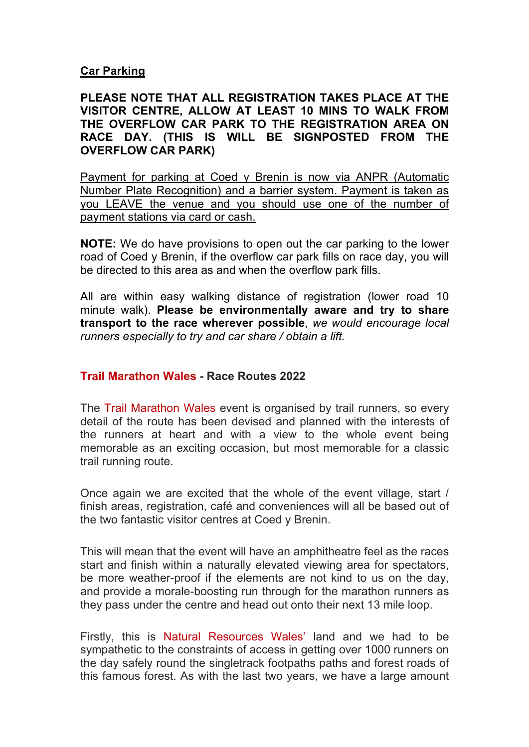#### **Car Parking**

## **PLEASE NOTE THAT ALL REGISTRATION TAKES PLACE AT THE VISITOR CENTRE, ALLOW AT LEAST 10 MINS TO WALK FROM THE OVERFLOW CAR PARK TO THE REGISTRATION AREA ON RACE DAY. (THIS IS WILL BE SIGNPOSTED FROM THE OVERFLOW CAR PARK)**

Payment for parking at Coed y Brenin is now via ANPR (Automatic Number Plate Recognition) and a barrier system. Payment is taken as you LEAVE the venue and you should use one of the number of payment stations via card or cash.

**NOTE:** We do have provisions to open out the car parking to the lower road of Coed y Brenin, if the overflow car park fills on race day, you will be directed to this area as and when the overflow park fills.

All are within easy walking distance of registration (lower road 10 minute walk). **Please be environmentally aware and try to share transport to the race wherever possible**, *we would encourage local runners especially to try and car share / obtain a lift.*

## **Trail Marathon Wales - Race Routes 2022**

The Trail Marathon Wales event is organised by trail runners, so every detail of the route has been devised and planned with the interests of the runners at heart and with a view to the whole event being memorable as an exciting occasion, but most memorable for a classic trail running route.

Once again we are excited that the whole of the event village, start / finish areas, registration, café and conveniences will all be based out of the two fantastic visitor centres at Coed y Brenin.

This will mean that the event will have an amphitheatre feel as the races start and finish within a naturally elevated viewing area for spectators, be more weather-proof if the elements are not kind to us on the day, and provide a morale-boosting run through for the marathon runners as they pass under the centre and head out onto their next 13 mile loop.

Firstly, this is Natural Resources Wales' land and we had to be sympathetic to the constraints of access in getting over 1000 runners on the day safely round the singletrack footpaths paths and forest roads of this famous forest. As with the last two years, we have a large amount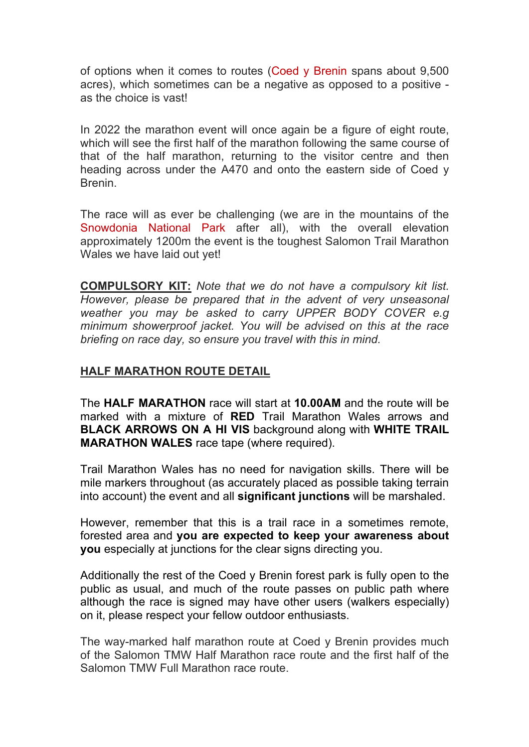of options when it comes to routes (Coed y Brenin spans about 9,500 acres), which sometimes can be a negative as opposed to a positive as the choice is vast!

In 2022 the marathon event will once again be a figure of eight route, which will see the first half of the marathon following the same course of that of the half marathon, returning to the visitor centre and then heading across under the A470 and onto the eastern side of Coed y Brenin.

The race will as ever be challenging (we are in the mountains of the Snowdonia National Park after all), with the overall elevation approximately 1200m the event is the toughest Salomon Trail Marathon Wales we have laid out yet!

**COMPULSORY KIT:** *Note that we do not have a compulsory kit list. However, please be prepared that in the advent of very unseasonal weather you may be asked to carry UPPER BODY COVER e.g minimum showerproof jacket. You will be advised on this at the race briefing on race day, so ensure you travel with this in mind.*

# **HALF MARATHON ROUTE DETAIL**

The **HALF MARATHON** race will start at **10.00AM** and the route will be marked with a mixture of **RED** Trail Marathon Wales arrows and **BLACK ARROWS ON A HI VIS** background along with **WHITE TRAIL MARATHON WALES** race tape (where required).

Trail Marathon Wales has no need for navigation skills. There will be mile markers throughout (as accurately placed as possible taking terrain into account) the event and all **significant junctions** will be marshaled.

However, remember that this is a trail race in a sometimes remote, forested area and **you are expected to keep your awareness about you** especially at junctions for the clear signs directing you.

Additionally the rest of the Coed y Brenin forest park is fully open to the public as usual, and much of the route passes on public path where although the race is signed may have other users (walkers especially) on it, please respect your fellow outdoor enthusiasts.

The way-marked half marathon route at Coed y Brenin provides much of the Salomon TMW Half Marathon race route and the first half of the Salomon TMW Full Marathon race route.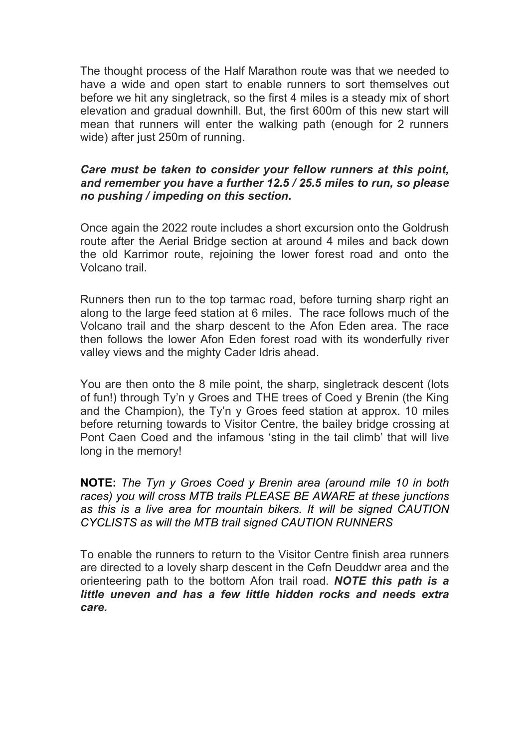The thought process of the Half Marathon route was that we needed to have a wide and open start to enable runners to sort themselves out before we hit any singletrack, so the first 4 miles is a steady mix of short elevation and gradual downhill. But, the first 600m of this new start will mean that runners will enter the walking path (enough for 2 runners wide) after just 250m of running.

## *Care must be taken to consider your fellow runners at this point, and remember you have a further 12.5 / 25.5 miles to run, so please no pushing / impeding on this section***.**

Once again the 2022 route includes a short excursion onto the Goldrush route after the Aerial Bridge section at around 4 miles and back down the old Karrimor route, rejoining the lower forest road and onto the Volcano trail.

Runners then run to the top tarmac road, before turning sharp right an along to the large feed station at 6 miles. The race follows much of the Volcano trail and the sharp descent to the Afon Eden area. The race then follows the lower Afon Eden forest road with its wonderfully river valley views and the mighty Cader Idris ahead.

You are then onto the 8 mile point, the sharp, singletrack descent (lots of fun!) through Ty'n y Groes and THE trees of Coed y Brenin (the King and the Champion), the Ty'n y Groes feed station at approx. 10 miles before returning towards to Visitor Centre, the bailey bridge crossing at Pont Caen Coed and the infamous 'sting in the tail climb' that will live long in the memory!

**NOTE:** *The Tyn y Groes Coed y Brenin area (around mile 10 in both races) you will cross MTB trails PLEASE BE AWARE at these junctions as this is a live area for mountain bikers. It will be signed CAUTION CYCLISTS as will the MTB trail signed CAUTION RUNNERS*

To enable the runners to return to the Visitor Centre finish area runners are directed to a lovely sharp descent in the Cefn Deuddwr area and the orienteering path to the bottom Afon trail road. *NOTE this path is a little uneven and has a few little hidden rocks and needs extra care.*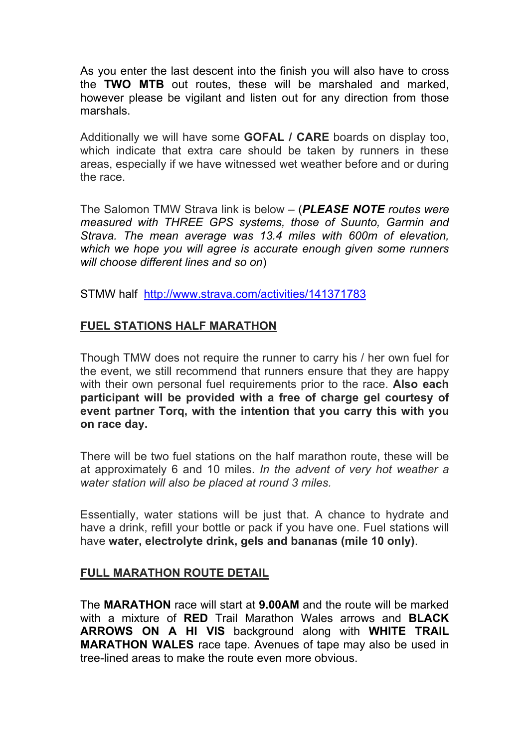As you enter the last descent into the finish you will also have to cross the **TWO MTB** out routes, these will be marshaled and marked, however please be vigilant and listen out for any direction from those marshals.

Additionally we will have some **GOFAL / CARE** boards on display too, which indicate that extra care should be taken by runners in these areas, especially if we have witnessed wet weather before and or during the race.

The Salomon TMW Strava link is below – (*PLEASE NOTE routes were measured with THREE GPS systems, those of Suunto, Garmin and Strava. The mean average was 13.4 miles with 600m of elevation, which we hope you will agree is accurate enough given some runners will choose different lines and so on*)

STMW half http://www.strava.com/activities/141371783

# **FUEL STATIONS HALF MARATHON**

Though TMW does not require the runner to carry his / her own fuel for the event, we still recommend that runners ensure that they are happy with their own personal fuel requirements prior to the race. **Also each participant will be provided with a free of charge gel courtesy of event partner Torq, with the intention that you carry this with you on race day.** 

There will be two fuel stations on the half marathon route, these will be at approximately 6 and 10 miles. *In the advent of very hot weather a water station will also be placed at round 3 miles.*

Essentially, water stations will be just that. A chance to hydrate and have a drink, refill your bottle or pack if you have one. Fuel stations will have **water, electrolyte drink, gels and bananas (mile 10 only)**.

## **FULL MARATHON ROUTE DETAIL**

The **MARATHON** race will start at **9.00AM** and the route will be marked with a mixture of **RED** Trail Marathon Wales arrows and **BLACK ARROWS ON A HI VIS** background along with **WHITE TRAIL MARATHON WALES** race tape. Avenues of tape may also be used in tree-lined areas to make the route even more obvious.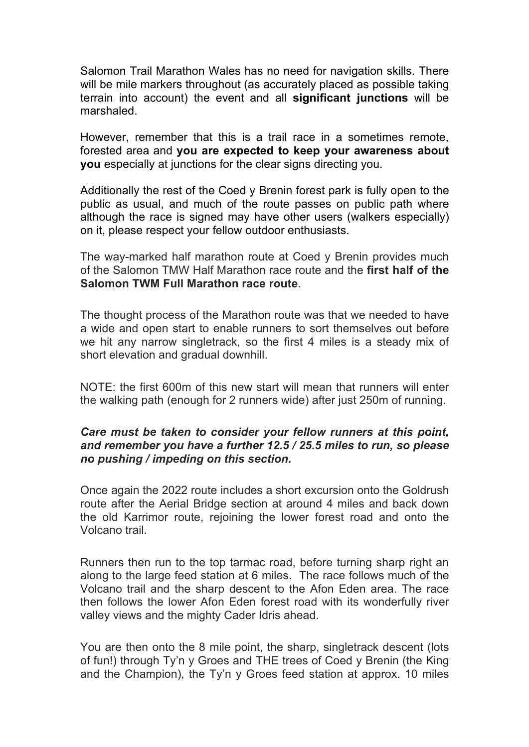Salomon Trail Marathon Wales has no need for navigation skills. There will be mile markers throughout (as accurately placed as possible taking terrain into account) the event and all **significant junctions** will be marshaled.

However, remember that this is a trail race in a sometimes remote, forested area and **you are expected to keep your awareness about you** especially at junctions for the clear signs directing you.

Additionally the rest of the Coed y Brenin forest park is fully open to the public as usual, and much of the route passes on public path where although the race is signed may have other users (walkers especially) on it, please respect your fellow outdoor enthusiasts.

The way-marked half marathon route at Coed y Brenin provides much of the Salomon TMW Half Marathon race route and the **first half of the Salomon TWM Full Marathon race route**.

The thought process of the Marathon route was that we needed to have a wide and open start to enable runners to sort themselves out before we hit any narrow singletrack, so the first 4 miles is a steady mix of short elevation and gradual downhill.

NOTE: the first 600m of this new start will mean that runners will enter the walking path (enough for 2 runners wide) after just 250m of running.

## *Care must be taken to consider your fellow runners at this point, and remember you have a further 12.5 / 25.5 miles to run, so please no pushing / impeding on this section.*

Once again the 2022 route includes a short excursion onto the Goldrush route after the Aerial Bridge section at around 4 miles and back down the old Karrimor route, rejoining the lower forest road and onto the Volcano trail.

Runners then run to the top tarmac road, before turning sharp right an along to the large feed station at 6 miles. The race follows much of the Volcano trail and the sharp descent to the Afon Eden area. The race then follows the lower Afon Eden forest road with its wonderfully river valley views and the mighty Cader Idris ahead.

You are then onto the 8 mile point, the sharp, singletrack descent (lots of fun!) through Ty'n y Groes and THE trees of Coed y Brenin (the King and the Champion), the Ty'n y Groes feed station at approx. 10 miles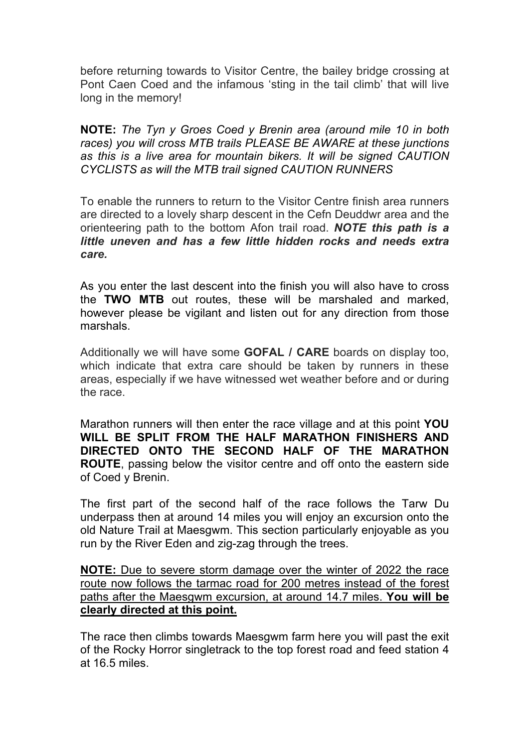before returning towards to Visitor Centre, the bailey bridge crossing at Pont Caen Coed and the infamous 'sting in the tail climb' that will live long in the memory!

**NOTE:** *The Tyn y Groes Coed y Brenin area (around mile 10 in both races) you will cross MTB trails PLEASE BE AWARE at these junctions as this is a live area for mountain bikers. It will be signed CAUTION CYCLISTS as will the MTB trail signed CAUTION RUNNERS*

To enable the runners to return to the Visitor Centre finish area runners are directed to a lovely sharp descent in the Cefn Deuddwr area and the orienteering path to the bottom Afon trail road. *NOTE this path is a little uneven and has a few little hidden rocks and needs extra care.*

As you enter the last descent into the finish you will also have to cross the **TWO MTB** out routes, these will be marshaled and marked, however please be vigilant and listen out for any direction from those marshals.

Additionally we will have some **GOFAL / CARE** boards on display too, which indicate that extra care should be taken by runners in these areas, especially if we have witnessed wet weather before and or during the race.

Marathon runners will then enter the race village and at this point **YOU WILL BE SPLIT FROM THE HALF MARATHON FINISHERS AND DIRECTED ONTO THE SECOND HALF OF THE MARATHON ROUTE**, passing below the visitor centre and off onto the eastern side of Coed y Brenin.

The first part of the second half of the race follows the Tarw Du underpass then at around 14 miles you will enjoy an excursion onto the old Nature Trail at Maesgwm. This section particularly enjoyable as you run by the River Eden and zig-zag through the trees.

**NOTE:** Due to severe storm damage over the winter of 2022 the race route now follows the tarmac road for 200 metres instead of the forest paths after the Maesgwm excursion, at around 14.7 miles. **You will be clearly directed at this point.**

The race then climbs towards Maesgwm farm here you will past the exit of the Rocky Horror singletrack to the top forest road and feed station 4 at 16.5 miles.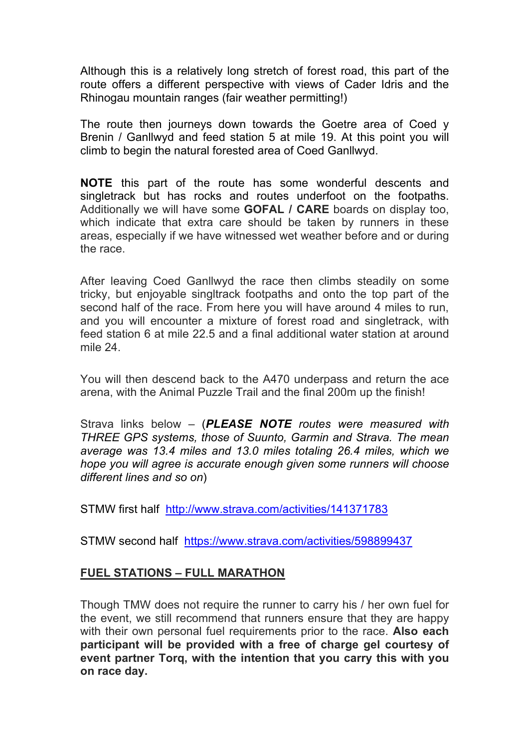Although this is a relatively long stretch of forest road, this part of the route offers a different perspective with views of Cader Idris and the Rhinogau mountain ranges (fair weather permitting!)

The route then journeys down towards the Goetre area of Coed y Brenin / Ganllwyd and feed station 5 at mile 19. At this point you will climb to begin the natural forested area of Coed Ganllwyd.

**NOTE** this part of the route has some wonderful descents and singletrack but has rocks and routes underfoot on the footpaths. Additionally we will have some **GOFAL / CARE** boards on display too, which indicate that extra care should be taken by runners in these areas, especially if we have witnessed wet weather before and or during the race.

After leaving Coed Ganllwyd the race then climbs steadily on some tricky, but enjoyable singltrack footpaths and onto the top part of the second half of the race. From here you will have around 4 miles to run, and you will encounter a mixture of forest road and singletrack, with feed station 6 at mile 22.5 and a final additional water station at around mile 24.

You will then descend back to the A470 underpass and return the ace arena, with the Animal Puzzle Trail and the final 200m up the finish!

Strava links below – (*PLEASE NOTE routes were measured with THREE GPS systems, those of Suunto, Garmin and Strava. The mean average was 13.4 miles and 13.0 miles totaling 26.4 miles, which we hope you will agree is accurate enough given some runners will choose different lines and so on*)

STMW first half http://www.strava.com/activities/141371783

STMW second half https://www.strava.com/activities/598899437

# **FUEL STATIONS – FULL MARATHON**

Though TMW does not require the runner to carry his / her own fuel for the event, we still recommend that runners ensure that they are happy with their own personal fuel requirements prior to the race. **Also each participant will be provided with a free of charge gel courtesy of event partner Torq, with the intention that you carry this with you on race day.**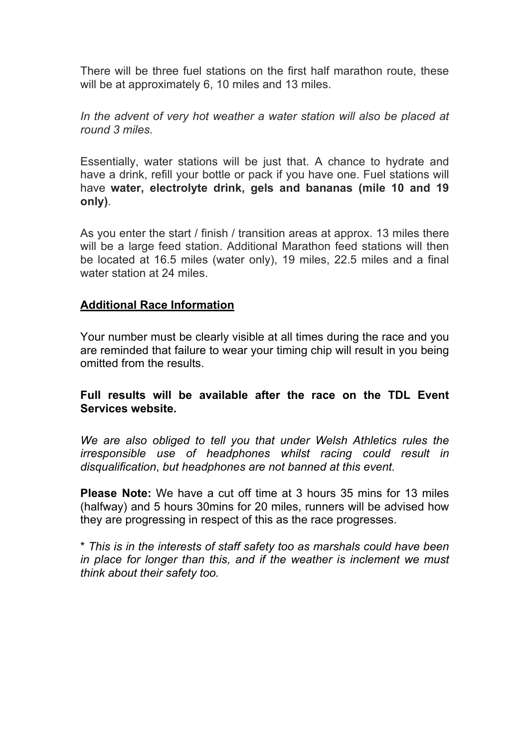There will be three fuel stations on the first half marathon route, these will be at approximately 6, 10 miles and 13 miles.

*In the advent of very hot weather a water station will also be placed at round 3 miles.*

Essentially, water stations will be just that. A chance to hydrate and have a drink, refill your bottle or pack if you have one. Fuel stations will have **water, electrolyte drink, gels and bananas (mile 10 and 19 only)**.

As you enter the start / finish / transition areas at approx. 13 miles there will be a large feed station. Additional Marathon feed stations will then be located at 16.5 miles (water only), 19 miles, 22.5 miles and a final water station at 24 miles.

## **Additional Race Information**

Your number must be clearly visible at all times during the race and you are reminded that failure to wear your timing chip will result in you being omitted from the results.

## **Full results will be available after the race on the TDL Event Services website.**

*We are also obliged to tell you that under Welsh Athletics rules the irresponsible use of headphones whilst racing could result in disqualification*, *but headphones are not banned at this event.*

**Please Note:** We have a cut off time at 3 hours 35 mins for 13 miles (halfway) and 5 hours 30mins for 20 miles, runners will be advised how they are progressing in respect of this as the race progresses.

\* *This is in the interests of staff safety too as marshals could have been in place for longer than this, and if the weather is inclement we must think about their safety too.*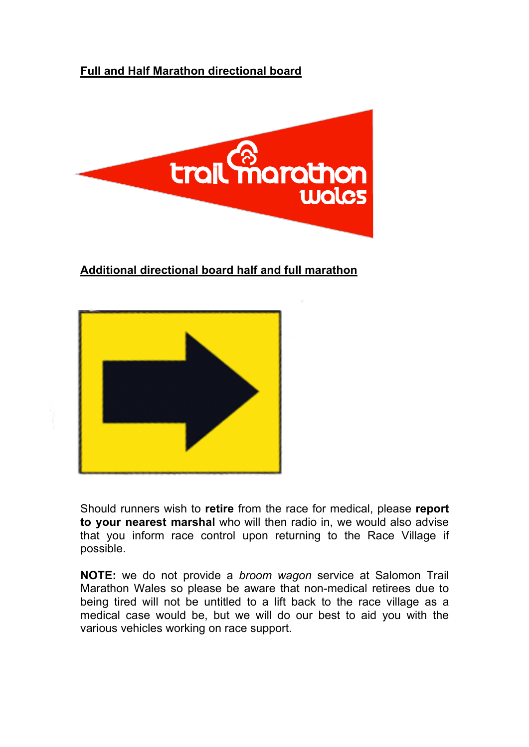# **Full and Half Marathon directional board**



# **Additional directional board half and full marathon**



Should runners wish to **retire** from the race for medical, please **report to your nearest marshal** who will then radio in, we would also advise that you inform race control upon returning to the Race Village if possible.

**NOTE:** we do not provide a *broom wagon* service at Salomon Trail Marathon Wales so please be aware that non-medical retirees due to being tired will not be untitled to a lift back to the race village as a medical case would be, but we will do our best to aid you with the various vehicles working on race support.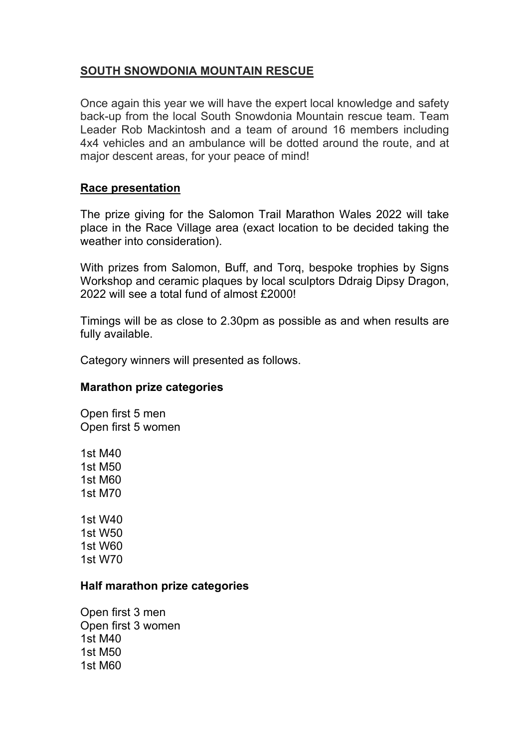# **SOUTH SNOWDONIA MOUNTAIN RESCUE**

Once again this year we will have the expert local knowledge and safety back-up from the local South Snowdonia Mountain rescue team. Team Leader Rob Mackintosh and a team of around 16 members including 4x4 vehicles and an ambulance will be dotted around the route, and at major descent areas, for your peace of mind!

## **Race presentation**

The prize giving for the Salomon Trail Marathon Wales 2022 will take place in the Race Village area (exact location to be decided taking the weather into consideration).

With prizes from Salomon, Buff, and Torq, bespoke trophies by Signs Workshop and ceramic plaques by local sculptors Ddraig Dipsy Dragon, 2022 will see a total fund of almost £2000!

Timings will be as close to 2.30pm as possible as and when results are fully available.

Category winners will presented as follows.

## **Marathon prize categories**

Open first 5 men Open first 5 women

1st M40 1st M50 1st M60 1st M70

1st W40 1st W50 1st W60 1st W70

## **Half marathon prize categories**

Open first 3 men Open first 3 women 1st M40 1st M50 1st M60